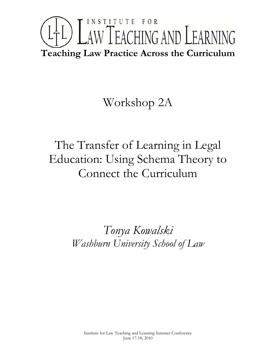# INSTITUTE FOR LTL) LAW TEACHING AND LEARNING **Teaching Law Practice Across the Curriculum**

# Workshop 2A

# The Transfer of Learning in Legal Education: Using Schema Theory to Connect the Curriculum

# *Tonya Kowalski Washburn University School of Law*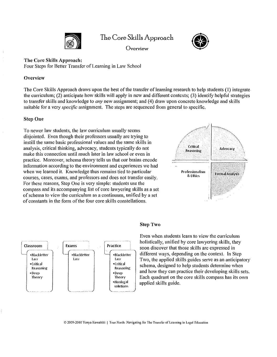

Overview



The Core Skills Approach: Four Steps for Better Transfer of Learning in Law School

## **Overview**

The Core Skills Approach draws upon the best of the transfer of learning research to help students (1) integrate the curriculum; (2) anticipate how skills will apply in new and different contexts; (3) identify helpful strategies to transfer skills and knowledge to *any* new assignment; and (4) draw upon concrete knowledge and skills suitable for a very *specific* assignment. The steps are sequenced from general to specific.

## Step One

To newer law students, the law curriculum usually seems disjointed. Even though their professors usually are trying to instill the same basic professional values and the same skills in analysis, critical thinking, advocacy, students typically do not make this connection until much later in law school or even in practice. Moreover, schema theory tells us that our brains encode information according to the environment and experiences we had when we learned it. Knowledge thus remains tied to particular courses, cases, exams, and professors and does not transfer easily. For these reasons, Step One is very simple: students use the compass and its accompanying list of core lawyering skills as a set of schema to view the curriculum as a continuum, unified by a set of constants in the form of the four core skills constellations.





## Step Two

Even when students learn to view the curriculum holistically, unified by core lawyering skills, they soon discover that those skills are expressed in different ways, depending on the context. In Step Two, the applied skills guides serve as an anticipatory schema, designed to help students determine when and how they can practice their developing skills sets. Each quadrant on the core skills compass has its own applied skills guide.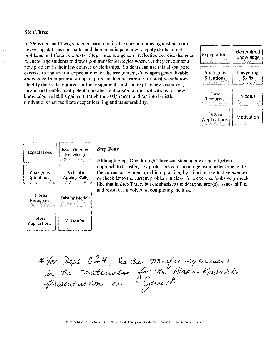### Step Three

In Steps One and Two, students learn to unify the curriculum using abstract core lawyering skills as constants, and then to anticipate how to apply skills to real problems in different contexts. Step Three is a general, reflective exercise designed to encourage students to draw upon transfer strategies whenever they encounter a new problem in their law courses or clerkships. Students can use this all-purpose exercise to analyze the expectations for the assignment; draw upon generalizable knowledge from prior learning; explore analogous learning for creative solutions; identify the skills required for the assignment; find and explore new resources; locate and troubleshoot potential models; anticipate future applications for new knowledge and skills gained through the assignment; and tap into holistic motivations that facilitate deeper learning and transferability.



| <b>Expectations</b>            | Issue-Oriented<br>Knowledge         |
|--------------------------------|-------------------------------------|
| Analogous<br><b>Situations</b> | Particular<br><b>Applied Skills</b> |
| Tailored<br>Resources          | <b>Existing Models</b>              |
| Future<br><b>Applications</b>  | Motivation                          |

### Step Four

Although Steps One through Three can stand alone as an effective approach to transfer, law professors can encourage even better transfer to the current assignment (and into practice) by tailoring a reflective exercise or checklist to the current problem in class. The exercise looks very much like that in Step Three, but emphasizes the doctrinal area(s), issues, skills, and resources involved in completing the task.

4 For Steps 824, See the transfer exercises<br>in the materiales for the Alaka-Kowalski<br>presentation on Yune 18.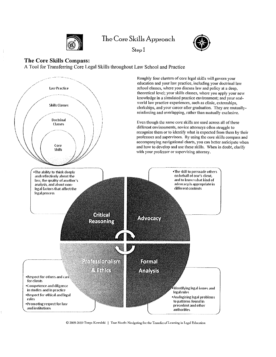





## The Core Skills Compass:

A Tool for Transferring Core Legal Skills throughout Law School and Practice



© 2009-2010 Tonya Kowalski I True North: Navigating for the Transfer of Learning in Legal Education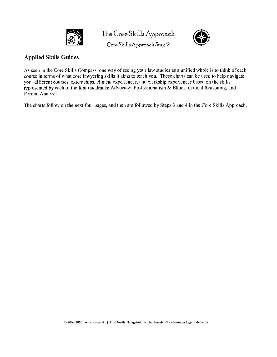

Core Skills Approach Step 2



## Applied Skills Guides

As seen in the Core Skills Compass, one way of seeing your law studies as a unified whole is to think of each course in terms of what core lawyering skills it aims to teach you. These charts can be used to help navigate your different courses, externships, clinical experiences, and clerkship experiences based on the skills represented by each of the four quadrants: Advocacy, Professionalism & Ethics, Critical Reasoning, and Formal Analysis.

The charts follow on the next four pages, and then are followed by Steps 3 and 4 in the Core Skills Approach.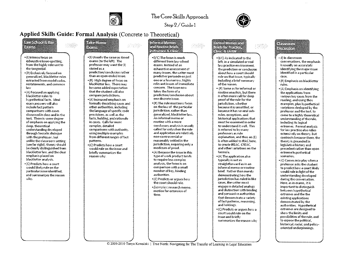

Step 2 / Guide 1

宗法禁

## Applied Skills Guide: Formal Analysis (Concrete to Theoretical)

### **LEW SERGE REGIST** 学习的

- ·(I) Intense focus on exhaustive issue-spotting. from the highly relevant to the tangential.
- \*(R) Exclusively focused on generalized, blackletter rules extracted from model codes, restatements, and common law.
- \*(A) Focused on applying blackletter rules to hypothetical facts, Ideal exam answers will also include fact pattern comparisons with cases discussed in class and in the text. There is some degree of emphasis on applying the deep, theoretical understanding developed through Socratic dialogue with the professor, but unlike the classroom setting (see far right), theory should be clearly distinguished from blackletter law, and the clear emphasis placed on blackletter analysis.
- . (C) Predicts how a court would likely rule on the particular issue identified. and summarizes the reason why.

## **TakeHome Belins**

- . (I) Usually the same as timed exams (to the left). The professor may want the (I) stated as a prediction/conclusion rather than an open-ended issue.
- •(R) High degree of focus on blackletter law. There may be some added expectation that the student will also compare jurisdictions.
- •(A) Increased emphasis on formally describing cases and other authorities, including the language of specific code provisions, as well as the facts, holding, and rationale in cases. Calls for more complex, detailed comparisons with authority, using multiple examples from different ranges of fact patterns.
- ·(C) Predicts how a court would rule on the issue and briefly summarizes the reason why.

#### **Informal Memos ard Rough's Briefs**

\*(I/C) The focus is much different from law school exams. Instead of an exhaustive assessment of many issues, the writer must predict or persuade on just one or a fewnarrow, highly relevant issues of immediate concern. The issue now takes the form of a prediction/conclusion about one discrete issue.

.(R) The rule must now focus on the law of the particular jurisdiction, rather than generalized, blackletter law. An informal memo or routine with a more conclusory analysis is usually called for onlywhen the rule and application are relatively non-controversial or reasonably settled in the jurisdiction, requiring only a modicum of proof.

- •(A) Because the issue in this type of work product tends to require less complex analysis, the focus is on comparison with a small number of key, binding authorities.
- · (C) Predicts or argues how the court should rule.
- -Examples: research memo. motion for extension of time.

#### Formal Montessing **DIGNIOR** CRISP **CHARGE STAND**

.(I/C) As indicated to the left, in a simulated or real law practice environment. the prediction or conclusion about how a court should rule on that issue, typically including a brief summary of the reason.

• (R) Same as for informal or routine anaylisis, but there is often more call for deep proof of the rule for the jurisdiction, whether because it is unsettled, or because it has several subrules, exceptions, and historical applications that must be examined in order to understand it well. This is referred to by many professors as rule explanation, and thus an (E) is often added to IRAC here. to create IREAC, CREAC. and other variations on the formula.

- \*(A) The application also typically is not as straightforward as in an informal memo or routine brief. Rather than merely demonstrating how the jurisdiction has ruled in like cases, the writer must engage in detailed analogy and distinction with binding and persuasive authorities that demonstrate a variety of fact patterns, reasoning, and holdings.
- \*(C) Predicts or argues how a court would rule on the issue and briefly summarizes the reason why

## $E = C \cdot \frac{1}{2}$  $D$  $F$  $C$  $F$  $F$  $F$  $T$

· (I) In classroom conversations, the emphasis is usually on accurately identifying the major issue identified in a particular case.

· (R) Emphasis on blackletter rules.

\*(A) Emphasis on identifying the applications from various key cases from the reading, and using thos examples, plus hypothetical variations deeloped by the professor and the text, to come to a highly theoretical understanding of the rule. induding its logical extremes. Formal analysis for law practice also relies extensively on theory, but contrasts because there, the theory is grounded in legislative history and precedent rather than upon extreme hypothetical scenarios.

•(C) Comes into play when a professor asks the student to predict how a court likely would rule in light of the understanding developed during the conversation. Here, as in exams, it is important to distinguish between hypothetical extremes and the the existing applications demonstrated by the authorities. Hypothetical extremes are designed to show the limits and possibilities of the rule, and to expose the political, historical, racial, and policyoriented underpinnings.

© 2009-2010 Tonya Kowalski | True North: Navigating for The Transfer of Learning in Legal Education

<u>terne</u>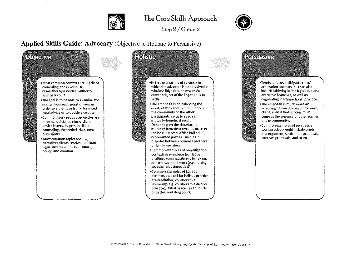

Step  $2/G$ uide  $2$ 



## Applied Skills Guide: Advocacy (Objective to Holistic to Persuasive)

 $\mathbf{A}$ 

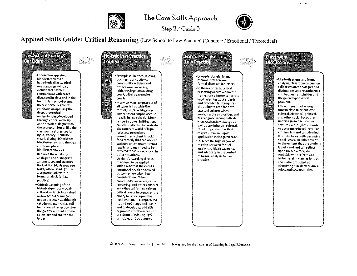

 $Step 2 / Guide 3$ 



Applied Skills Guide: Critical Reasoning (Law School to Law Practice) (Concrete / Emotional / Theoretical)



C 2009-2010 Tonya Kowalski | True North: Navigating for the Transfer of Learning in Legal Education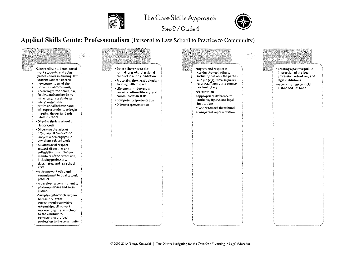

 $\mathcal{A}^{\mathcal{A}}$  and

## The Core Skills Approach





 $\omega$  ,  $\omega$  ,  $\omega$  ,  $\omega$  , and  $\omega$ 

Applied Skills Guide: Professionalism (Personal to Law School to Practice to Community)

Studens i Giusippinalinisto e ilin Belgialini <u>tagasta atu</u> Letabrana \*Like medical students, social \*Strict adherence to the \*Dignity and respect in \*Creating a positive public work students, and other formal rules of professional conduct toward others, impression of the legal professionals-in-training, law conduct in one's jurisdiction. including not only the parties profession, rule of law, and students are considered and judge(s), but also jurors, \*Protecting the client's dignity: legal institutions novice members of the court staff, opposing counsel, treating with respect \*A commitment to social professional community. and onlookers. justice and pro bono • Lifelong commitment to Accordingly, the bench, bar, ·Preparation learning cultural literacy and faculty, and student body communication skills \*Appropriate deference to will enculturate students authority figures and legal \*Competent representation into standards for institutions \*Diligent representation professional behavior and . Candor toward the tribunal will expect students to begin \*Competent representation meeting those standards while in school. . Obeying the law school's **Honor Code** \*Observing the rules of professional conduct for lawyers when engaged in any client-related work . An attitude of respect toward all peoples and collegiality toward fellow members of the profession, including professors, classmates, and law school staff . A strong work ethic and commitment to quality work product \*A developing commitment to pro bono service and social justice. +Sample contexts: classroom, homework, exams, extracurricular activities, externships, clinic work. representing the law school to the community, representing the legal profession to the community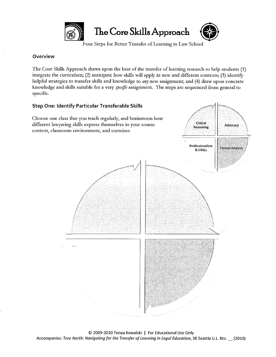

Four Steps for Better Transfer of Learning in Law School

## **Overview**

The Core Skills Approach draws upon the best of the transfer of learning research to help students (1) integrate the curriculum; (2) anticipate how skills will apply in new and different contexts; (3) identify helpful strategies to transfer skills and knowledge to *any* new assignment; and (4) draw upon concrete knowledge and skills suitable for a very *specific* assignment. The steps are sequenced from general to specific.

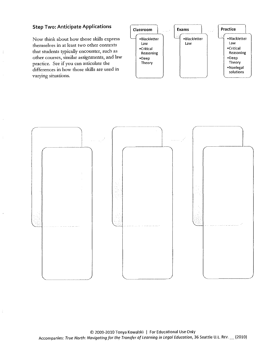## Step Two: Anticipate Applications

Now think about how those skills express themselves in at least two other contexts that students typically encounter, such as  $other courses$ , similar assignments, and law practice. See if you can articulate the differences in how those skills are used in **varying situations.**



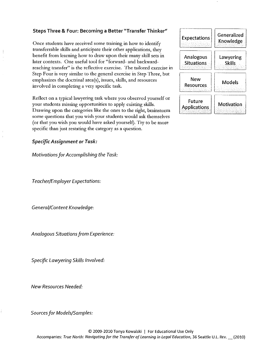## Steps Three & Four: Becoming a Better "Transfer Thinker"

Once students have received some training in how to identify transferrable skills and anticipate their other applications, they benefit from learning how to draw upon their many skill sets in later contexts. One useful tool for "forward· and backward· reaching transfer" is the reflective exercise. The tailored exercise in Step Four is very similar to the general exercise in Step Three, but **clnphasizes the doctrinal area(s), issues, skills, and resources** involved in completing a very specific task.

Reflect on a typical lawyering task where you observed yourself or your students missing opportunities to apply existing skills. Drawing upon the categories like the ones to the right, brainstorm some questions that you wish your students would ask themselves (or that you wish you would have asked yourself). Try to be more specific than just restating the category as a question.

*Specific Assignment or Task:*

*Motivationsfor Accomplishing the Task:*

*Teacher/Employer Expectations:*

*General/Content Knowledge:*

*Analogous Situationsfrom Experience:*

*Specific Lawyering Skills Involved:*

*New Resources Needed:*

*Sourcesfor Models/Samples:*

| <b>Expectations</b>                   | Generalized<br>Knowledge   |
|---------------------------------------|----------------------------|
| <b>Analogous</b><br><b>Situations</b> | Lawyering<br><b>Skills</b> |
| New<br>Resources                      | Models                     |
| Future<br><b>Applications</b>         | Motivation                 |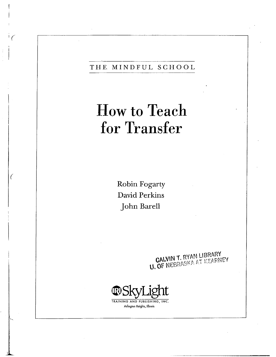## THE MINDFUL SCHOOL

# **How to Teach** for Transfer

Robin Fogarty David Perkins John Barell

€

**CALVIN T. RYAN LIBRARY**<br>**U. OF NEBRASKA AT KEARNEY** 

TRAINING AND PUBLISHING, INC. Arlington Heights, Illinois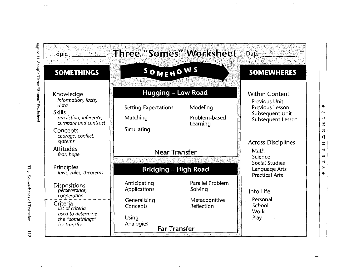|                                                                                                                                                                       | Topic Three "Somes" Worksheet                                                                         |                                                            | Date and Date                                                                                            |
|-----------------------------------------------------------------------------------------------------------------------------------------------------------------------|-------------------------------------------------------------------------------------------------------|------------------------------------------------------------|----------------------------------------------------------------------------------------------------------|
| <b>SOMETHINGS</b>                                                                                                                                                     | SOMEHOWS                                                                                              |                                                            | <b>SOMEWHERES</b>                                                                                        |
| Knowledge<br>information, facts,<br>data<br><b>Skills</b><br>prediction, inference,<br>compare and contrast<br>Concepts                                               | <b>Hugging - Low Road</b><br><b>Setting Expectations</b><br>Matching<br>Simulating                    | Modeling<br>Problem-based<br>Learning                      | <b>Within Content</b><br><b>Previous Unit</b><br>Previous Lesson<br>Subsequent Unit<br>Subsequent Lesson |
| courage, conflict,<br>systems<br><b>Attitudes</b><br>fear, hope<br>Principles                                                                                         | <b>Near Transfer</b><br><b>Bridging - High Road</b>                                                   |                                                            | <b>Across Disciplines</b><br>Math<br>Science<br><b>Social Studies</b><br>Language Arts                   |
| laws, rules, theorems<br><b>Dispositions</b><br>perseverance,<br>cooperation<br>Criteria<br>list of criteria<br>used to determine<br>the "somethings"<br>for transfer | Anticipating<br>Applications<br>Generalizing<br>Concepts<br>Using<br>Analogies<br><b>Far Transfer</b> | Parallel Problem<br>Solving<br>Metacognitive<br>Reflection | <b>Practical Arts</b><br>Into Life<br>Personal<br>School<br><b>Work</b><br>Play                          |

 $\mathbb{R}^2$ 

 $\hat{\pi}^{\pm}$  ,  $\hat{\pi}^{\pm}$  , and

 $\blacklozenge$ 

SOMEWHERES

 $\mathbf{v}$ 

The Somewheres of Transfer

 $6\overline{11}$ 

 $\sim$ 

 $\hat{A}_{\rm{max}}$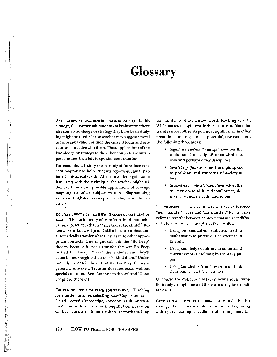# **Glossary**

ANTICIPATING APPLICATIONS (BRIDGING STRATEGY) In this strategy, the teacher asks students to brainstorm where else some knowledge or strategy they have been study~ ing might be used. Or the teacher may suggest several areas of application outside the current focus and provide brief practice with them. Thus, applications of the knowledge or strategy to the other contexts are antici~ pated rather than left to spontaneous transfer.

l' F; !'

r

For example, a history teacher might introduce concept mapping to help students represent causal patterns in historical events. After the students gain some familiarity with the technique. the tcacher might ask them to brainstorm possible applications of concept mapping to other subject matters-diagramming stories in English or concepts in mathematics, for instance.

Bo PEEP THEORY OF TRANSFER: *TRANSFER TAKES CARE OF ITSELF* The tacit theory of transfer behind most edu· cational practice is that transfer takes care of itself: students learn knowledge and skills in one context and automatically transfer what they learn to other appropriate contexts. One might call this the "Bo Peep" theory, because it treats transfer the way Bo Peep treated her sheep: "Leave them alone, and they'll come home, wagging their tails behind them." Unfortunately, research shows that the Bo Peep theory is generally mistaken. Transfer does not occur without special attention. (See "Lost Sheep theory" and "Good Shepherd theory.")

CRITERIA rOR WHAT TO TEACH FOR TRANSFER Teaching for transfer involves selecting *something* to be transferred-eertain knowledge, concepts, skills, or whatever. This, in turn, calls for thoughtful consideration of what elements of the curriculum are worth teaching for transfer (not to mention worth teaching at alll). What makes a topic worthwhile as a candidate for transfer is, of course, its potential significance in other areas. In appraising a topic's potential. one can check the following three areas:

- *• Significance within the disciplines--does* the topic have broad significance within its own and perhaps other disciplines?
- *• Societal significance-does* the topic speak to problems and concerns of society at large?
- *Student needs/interests/aspirations--does* the topic resonate with students' hopes, desires, curiosities, needs, and so on?

FAR TRANSFER A rough distinction is drawn between "near transfer" (see) and "far transfer." Far transfer refers to transfer between contexts that are very different. Here are some examples of far transfer:

- Using problem-solving skills acquired in mathematics to puzzle out an exercise in English.
- Using knowledge ofhistory to understand current events unfolding in the daily paper.
- Using knowledge from literature to think about one's own life situations.

Of course, the distinction between near and far transfer is only a rough one and there are many intermediate cases.

GENERALIZING CONCEPTS (BRIDGING STRATEGY) In this strategy, the teacher scaffolds a discussion beginning with a particular topic, leading students to generalize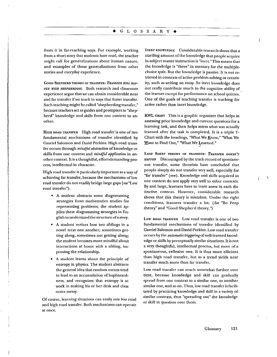from it in far~reaching ways. For example, working from a short story that students have read, the teacher might call for generalizations about human nature, and examples of those generalizations from other stories and everyday experience.

GOOD SHEPHERD THEORY OF TRANSFER: TRANSFER WILL HAP-*PEN WITH SHEPHERDING* Both research and classroom experience argue that we can obtain considerable near and far transfer ifwe teach in ways that foster transfer. Such teaching might be called "shepherding transfer," because teachers act as guides and prompters to "shepherd" knowledge and skills from one context to an· other.

HIGH ROAD TRANSFER High road transfer is one of two fundamental mechanisms of transfer identified by Gavriel Salomon and David Perkins. High road transfer occurs through *mindful abstraction* of knowledge or skills from one context and *mindful application* in an~ other context. Itis a thoughtful, effort-demanding process, intellectual in character.

High road transfer is particularly important as a way of achieving far transfer, because the mechanisms of low road transfer do not readily bridge large gaps *(see* "Low road transfer").

• A student abstracts some diagramming strategies from mathematics studies for representing problems; the student applies these diagramming strategies in En~ glish to understand the structure ofastory.

;.

- A student notices how two siblings in a novel treat one another, sometimes getting along, sometimes not getting along; the student becomes more mindful about interactions at home with a sibling, improving the relationship.
- A student learns about the principle of entropy in physics. The student abstracts the general idea that random events tend to lead to an accwnulation of haphazardness, and recognizes that entropy is at work in making his or her desk and class notes messy.

Of course, learning situations can easily mix low road and high road transfer. Both mechanisms can operate at once.

INERT KNOWLEDGE Considerable research shows that a startling amount of the knowledge that people acquire in subjectmatter instruction is "inert." This means that the knowledge is "there" in memory for the multiple~ choice quiz. But the knowledge is passive. It is not retrieved in contexts ofactive problem solving or creativ~ ity, such as writing an essay. So inert knowledge does not really contribute much to the cognitive ability of the learner except for performance on school quizzes. One of the goals of teaching transfer is teaching for active rather than inert knowledge.

KWL CHART This is a graphic organizer that helps in assessing prior knowledge and current questions for a learning task, and then helps assess what was actually learned after the task is completed. It is a triple T-Chart with the headings, "What We Enow," "\Vhat We Want to Find Out," "What We Learned."

LOST SHEEP TIIEORY OF TRANSFERI *TRANSFER DOESN'T* HAPPEN Discouraged by the track record of spontaneous transfer, some theorists have concluded that people simply do not transfer very well, especially for "far transfer" (see). Knowledge and skills acquired in one context do not apply very well to other contexts, By and large, learners have to learn anew in each distinctive context. However, considerable research shows that this theory is mistaken. Under the right conditions, learners transfer a lot. *(See* "Bo Peep theory" and "Good Shepherd theory. ")

Low ROAD TRANSFER Low road transfer is one of two fundamental mechanisms of transfer identified by Gavriel Salomon and David Perkins. Low road transfer occurs by the *automatic* triggeringofweU-learned knowledge or skills by perceptually similar situations. It is not a *very* thoughtful, intellectual process, but more of a spontaneous, reflexive one. It is thus more efficient than high road transfer, but as a trend yields near transfer much more than far transfer.

Low road transfer can reach somewhat further over time, because knowledge and skill can gradually spread from one context to a similar one, to another similar one, and so on. Thus, low road transfer is facilitated by practicing knowledge and skill in a variety of similar contexts, thus "spreading out" the knowledge or skill in question over them.

J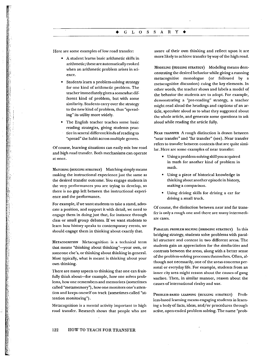Here are some examples of low road transfer:

- A student learns basic arithmetic skills in arithmetic; these are automatically evoked when an arithmetic problem arises in science.
- Students learn a problem·solving strategy for one kind of arithmetic problem. The teacher immediately gives a somewhat different kind of problem, but with some similarity. Students carry over the strategy to the new kind of problem. thus "spread~ ing" its utility more widely.
- The English teacher tcaches some basic reading strategies, giving students practice in several different kinds ofreading to "spread" the habit across multiple genres.

Of course, learning situations can easily mix low road and high road transfer. Both mechanisms can operate at oncc.

MATCHING (HUGGING STRATEGY) Matching simply means making the instructional experience just the same as the desired transfer outcome. You engage students in the very performances you are trying to develop, so there is no gap left between the instructional experience and the perfonnance.

For example, if we want students to take a stand, advocate a position, and support it with detail, we need to engage them in doing just that, for instance through class or small group debates. If we want students to learn how history speaks to contemporary events, we should engage them in thinking about exactly that.

METACOGNITION Metacognition is a technical term that means "thinking about thinking"-your own, or someone else's, or thinking about thinking in general. Most typically, what is meant is thinking about your own thinking.

There are many aspects to thinking that one can fruitfully think about-for example, how one solves problems, how one remembers and memorizes (sometimes called "metamemory"), how one monitors one's atten~ tion and keeps oneself on track (sometimes called "attention monitoring").

Metacognition is a mental activity important to high road transfer. Research shows that people who are

aware of their own thinking and reflect upon it are more likely to achieve transfer by way of the high road.

MODELING (HUGGING STRATEGY) Modeling means demonstrating the desired behavior while giving a running metacognitive monologue (or followed by a metacognitive discussion) cuing the key elements. In other words, the teacher shows and labels a model of the behavior the students are to adopt. For example, demonstrating a "pre~reading" strategy, a teacher might read aloud the headings and captions of an article, speculate aloud as to what they suggested about the whole article, and generate some questions to ask aloud while reading the article fully.

NEAR TRANSFER A rough distinction is drawn between "near transfer" and "far transfer" (see). Near transfer refers to transfer between contexts that are quite simi~ lar. Here are some examples of near transfer:

- Using a problem-solvingskill you acquired in math for another kind of problem in math.
- Using a piece of historical knowledge in thinking about another episode in history. making a comparison.
- Using driving skills for driving a car for driving a small truck.

Of course, the distinction between near and far transfer is only a rough one and there are many intermediate cases.

PARALLEL PROBLEM SOLVING (BRIDGING STRATEGY) In this bridging strategy, students solve problems with paral~ lei structure and content in two different areas. The students gain an appreciation for the similarities and contrasts between the areas, along with a better sense ofthe problem-solving processes themselves. Often, although not necessarily, one of the areas concerns personal or everyday life. For example, students from an inner city area might reason about the causes of gang warfare. Then, in similar manner, reason about the causes of international rivalry and war.

PROBLEM-BASED LEARNING (HUGGING STRATEGY) Problem-based learning means engaging students in learn~ ing a body of facts, ideas, and/or procedures through active, open-ended problem solving. The name "prob-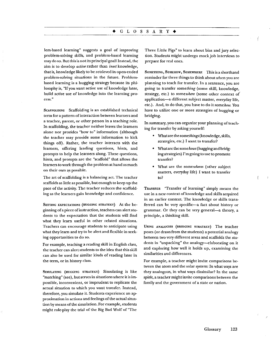#### $\triangle$  G L O S S A R Y  $\triangleleft$

lem-based learning" suggests a goal of improving problem~solving skills, and problem-based learning may do so. But this is not its principal goall Instead, the aim-is to develop *active* rather than *inert* knowledge, that is, knowledge likely to be retrieved in open-ended problem~solving situations in the future. Problembased learning is a hugging strategy because its philosophy is, "If you want active use of knowledge later, build active use of knowledge into the learning process."

SCAFFOLDING Scaffolding is an established technical term for a pattern of interaction between learners and a teacher, parent, or other person in a teaching role. In scaffolding, the teacher neither leaves the learners alone nor provides "how to" information (although the teacher may provide some infonnation to kick things off). Rather, the teacher interacts with the learners, offering leading questions, hints, and prompts to help the learners along. These questions, hints, and prompts are the "scaffold" that allows the learners to work through the problem at hand as much on their own as possible.

The art of scaffolding is a balancing act. The teacher scaffolds as little as possible, but enough to keep up the pace of the activity. The teacher reduces the scaffolding as the learners gain knowledge and confidence.

SETTING EXPECTATIONS (HUGGING STRATEGY) At the beginning of a piece of instruction, teachers can alert students to the expectation that the students will find what they learn useful in other related situations. Teachers can encourage students to anticipate using what they learn and try to be alert and flexible in seeking opportunities to do so.

For example, teaching a reading skill in English class, the teacher can alertstudents to the idea that this skill can also be used for similar kinds of reading later in the tenn, or in history class.

SmULATING (HUGGING STRATEGY) Simulating is like "matching" (see), but serves in situations where it is impossible, inconvenient, or imprudent to replicate the actual situation to which you want transfer. Instead, therefore, you simulate it. Students experience an approximation in actions and feelings of the actual situation by means of the simulation. For example, students might role-play the trial of the Big Bad Wolf of "The Three Little Pigs" to learn about bias and jury selec· tion. Students might undergo mock job interviews to prepare for real ones.

SOMETHING, SOMEHOW, SOMEWHERE This is a shorthand reminder for three things to think about when you are planning to teach for transfer. In a sentence, you are going to transfer *something* (some skill, knowledge, strategy, etc.) to *somewhere* (some other context of application-a different subject matter, everyday life, etc.). And, to do that, you have to do it *somehow.* You have to utilize one or more strategies of hugging or bridging.

In summary, you can organize your planning of teaching for transfer by asking yourself:

- Whatare the somethings (knowledge, skills, strategies, etc.) I want to transfer?
- Whatare the some hows (hugging and bridging strategies) I'm going to use to promote transfer?
- What are the *somewheres* (other subject matters, everyday life) I want to transfer to?

TRANSFER "Transfer of learning" simply means the use in a new context of knowledge and skills acquired in an earlier context. The knowledge or skills transferred can be very specific-a fact about history or grammar. Or they can be very general-a theory, a principle, a thinking skill.

USING ANALOGIES (BRIDGING STRATEGY) The teacher poses (or drawsfrom the students) a potential analogy between two very different areas and scaffolds the students in "unpacking" the analogy-elaborating on it and exploring how well it holds up, examining the similarities and differences.

For example, a teacher might invite comparisons between the atom and the solar system: In what ways are they analogous, in what ways dissimilar? In the same spirit, a teacher might invite comparisons between the family and the government of a state or nation.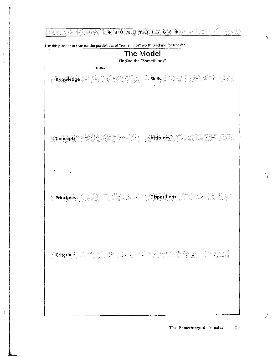#### <u>otar seb</u>  $\bullet$  s O M E T H I N  $\circ$  s  $\bullet$  and  $\bullet$  s

 $\mathcal{A}^{\text{max}}_{\text{max}}$ 

 $\hat{\mathbf{v}}$ 

| Finding the "Somethings"<br>Topic: |                     |
|------------------------------------|---------------------|
|                                    |                     |
| <b>Skills</b><br>Knowledge         |                     |
| <b>Attitudes</b><br>Concepts       |                     |
| Principles                         | <b>Dispositions</b> |
|                                    |                     |

 $\overline{\phantom{a}}$ 

 $\frac{1}{\sqrt{2}}$ 

**Use this planner to scan for the possibilities of "somethings" worth teaching for transfer.**

 $\ddot{\phantom{1}}$ 

/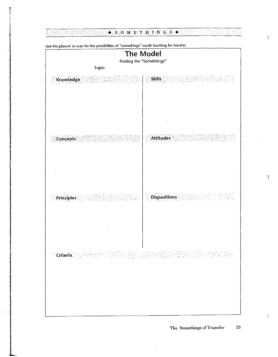#### $\bullet$  S O M E T H I N C S  $\bullet$ rt<br>K tiforn G y.<br>Ka 23. Ý,

| $O$ and $O$ and $O$ and $O$ and $O$ | <b>The Model</b><br>Finding the "Somethings" |
|-------------------------------------|----------------------------------------------|
| Topic:                              |                                              |
| Knowledge                           | <b>Skills</b>                                |
| <b>Concepts</b>                     | <b>Attitudes</b>                             |
| <b>Principles</b>                   | <b>Dispositions</b>                          |
|                                     |                                              |
| $\sim 100$ km s $^{-1}$             |                                              |

Lise this planner to scan for the possibilities of "somethings" worth teaching for transfer.

j.

j.

 $\ddot{\phantom{1}}$ 

€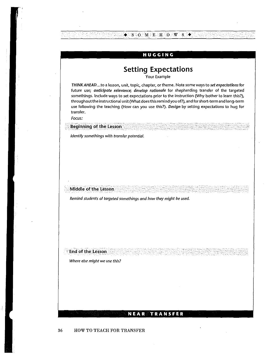|                          | <b>Setting Expectations</b><br>Your Example                                                                                                                                                                                                                                                                                                                                                                                                                                                                  |
|--------------------------|--------------------------------------------------------------------------------------------------------------------------------------------------------------------------------------------------------------------------------------------------------------------------------------------------------------------------------------------------------------------------------------------------------------------------------------------------------------------------------------------------------------|
| transfer.<br>Focus:      | THINK AHEADto a lesson, unit, topic, chapter, or theme. Note some ways to set expectations for<br>future use; anticipate relevance; develop rationale for shepherding transfer of the targeted<br>somethings. Include ways to set expectations prior to the instruction (Why bother to learn this?),<br>throughout the instructional unit (What does this remind you of?), and for short-term and long-term<br>use following the teaching (How can you use this?). Design by setting expectations to hug for |
|                          | <b>Beginning of the Lesson</b>                                                                                                                                                                                                                                                                                                                                                                                                                                                                               |
|                          | Identify somethings with transfer potential.                                                                                                                                                                                                                                                                                                                                                                                                                                                                 |
|                          | Middle of the Lesson<br>Remind students of targeted somethings and how they might be used.                                                                                                                                                                                                                                                                                                                                                                                                                   |
|                          |                                                                                                                                                                                                                                                                                                                                                                                                                                                                                                              |
| <b>End of the Lesson</b> |                                                                                                                                                                                                                                                                                                                                                                                                                                                                                                              |
|                          | Where else might we use this?                                                                                                                                                                                                                                                                                                                                                                                                                                                                                |
|                          |                                                                                                                                                                                                                                                                                                                                                                                                                                                                                                              |
|                          |                                                                                                                                                                                                                                                                                                                                                                                                                                                                                                              |

36 HOW TO TEACH FOR TRANSFER

τj

 $\frac{1}{2}$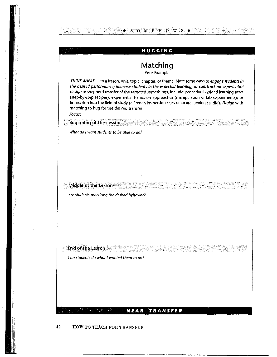|                      | HUGGING                                                                                                                                                                                                                                                                                                                                                                                                                                                                                                                                                     |
|----------------------|-------------------------------------------------------------------------------------------------------------------------------------------------------------------------------------------------------------------------------------------------------------------------------------------------------------------------------------------------------------------------------------------------------------------------------------------------------------------------------------------------------------------------------------------------------------|
|                      | Matching<br>Your Example                                                                                                                                                                                                                                                                                                                                                                                                                                                                                                                                    |
| Focus:               | THINK AHEAD to a lesson, unit, topic, chapter, or theme. Note some ways to engage students in<br>the desired performance; immerse students in the expected learning; or construct an experiential<br>design to shepherd transfer of the targeted somethings. Include: procedural guided learning tasks<br>(step-by-step recipes); experiential hands-on approaches (manipulation or lab experiments); or<br>immersion into the field of study (a French immersion class or an archaeological dig). Design with<br>matching to hug for the desired transfer. |
|                      | <b>Beginning of the Lesson</b>                                                                                                                                                                                                                                                                                                                                                                                                                                                                                                                              |
|                      |                                                                                                                                                                                                                                                                                                                                                                                                                                                                                                                                                             |
| Middle of the Lesson |                                                                                                                                                                                                                                                                                                                                                                                                                                                                                                                                                             |
|                      | Are students practicing the desired behavior?                                                                                                                                                                                                                                                                                                                                                                                                                                                                                                               |
|                      |                                                                                                                                                                                                                                                                                                                                                                                                                                                                                                                                                             |

**NEAR TRANSFER**

## 42 HOW TO TEACH FOR TRANSFER

NAMES OF STREET

 $\frac{1}{\sqrt{2}}$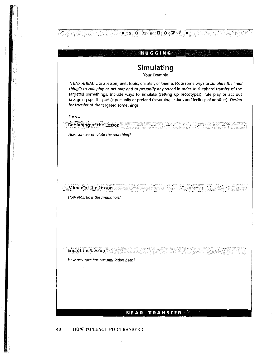|                      | Simulating<br>Your Example                                                                                                                                                                                                                                                                                                                                                                                                                          |
|----------------------|-----------------------------------------------------------------------------------------------------------------------------------------------------------------------------------------------------------------------------------------------------------------------------------------------------------------------------------------------------------------------------------------------------------------------------------------------------|
|                      | THINK AHEADto a lesson, unit, topic, chapter, or theme. Note some ways to simulate the "real<br>thing"; to role play or act out; and to personify or pretend in order to shepherd transfer of the<br>targeted somethings. Include ways to simulate (setting up prototypes); role play or act out<br>(assigning specific parts); personify or pretend (assuming actions and feelings of another). Design<br>for transfer of the targeted somethings. |
| Focus:               |                                                                                                                                                                                                                                                                                                                                                                                                                                                     |
|                      | <b>Beginning of the Lesson</b>                                                                                                                                                                                                                                                                                                                                                                                                                      |
|                      | How can we simulate the real thing?                                                                                                                                                                                                                                                                                                                                                                                                                 |
|                      |                                                                                                                                                                                                                                                                                                                                                                                                                                                     |
|                      |                                                                                                                                                                                                                                                                                                                                                                                                                                                     |
|                      |                                                                                                                                                                                                                                                                                                                                                                                                                                                     |
|                      |                                                                                                                                                                                                                                                                                                                                                                                                                                                     |
|                      |                                                                                                                                                                                                                                                                                                                                                                                                                                                     |
| Middle of the Lesson |                                                                                                                                                                                                                                                                                                                                                                                                                                                     |
|                      | How realistic is the simulation?                                                                                                                                                                                                                                                                                                                                                                                                                    |
|                      |                                                                                                                                                                                                                                                                                                                                                                                                                                                     |
|                      |                                                                                                                                                                                                                                                                                                                                                                                                                                                     |
|                      |                                                                                                                                                                                                                                                                                                                                                                                                                                                     |
|                      |                                                                                                                                                                                                                                                                                                                                                                                                                                                     |
|                      |                                                                                                                                                                                                                                                                                                                                                                                                                                                     |
| End of the Lesson    |                                                                                                                                                                                                                                                                                                                                                                                                                                                     |
|                      | How accurate has our simulation been?                                                                                                                                                                                                                                                                                                                                                                                                               |
|                      |                                                                                                                                                                                                                                                                                                                                                                                                                                                     |
|                      |                                                                                                                                                                                                                                                                                                                                                                                                                                                     |

## 48 HOW TO TEACH FOR TRANSFER

, ;<br>;

3.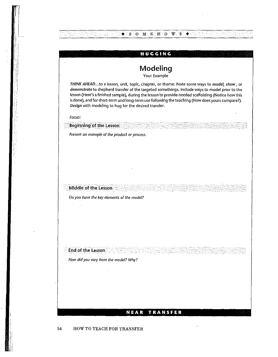

54 HOW TO TEACH FOR TRANSFER

;[ I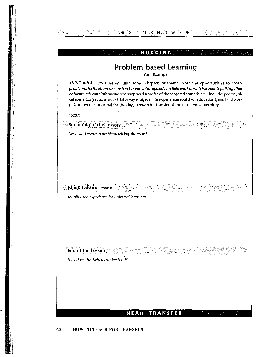# **Problem-based Learning**

**HUGGING**

 $\blacklozenge$  SOMEHOWS  $\blacklozenge$ 

Your Example

THINK AHEAD...to a lesson, unit, topic, chapter, or theme. Note the opportunities to create problematic situations orconstruct experiential episodes orfield work In which students pull together orlocote relevant Information to shepherd transter of the targeted somethings. Include: prototypicalscenarios (set up a mock trial or voyage); real-life experiences(outdoor education); and field work (taking over as principal for the day). Design for transfer of the targeted somethings.

Focus:

How can I create a problem-solving situation?

Middle of the Lesson

**Beginning of the Lesson** 

**Monitor the experience for universal learnings.** 

**End of the Lesson** 

How does this help us understand?

## **NEAR TRANSFER**

60 HOW TO TEACH FOR TRANSFER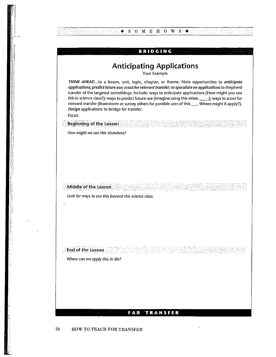$\blacklozenge$ ; S  $\bigcirc$  M  $\bigcirc$  E  $\bigcirc$  O W  $\bigcirc$  S  $\bigcirc$ 

# **Anticipating Applications**

Your Example

THINK AHEAD...to a lesson, unit, topic, chapter, or theme. Note opportunities to anticipate *applications; predict future use;scout for relevant transfer; orspeculate on applications***to shepherd** transfer of the targeted somethings. Include: ways to anticipate appiications (How might you use this in science class?); ways to predict future use (Imagine using this when \_\_.); ways to scout for relevant transfer (Brainstorm or survey others for possible uses of this \_\_\_\_. Where might it apply?). Design applications to bridge for transfer.

Focus:

**Beginning of the Lesson** 

How might we use this elsewhere?

e, p 나 대리 대리

Middle of the Lesson

Look for ways to use this beyond this science closs.

Where can we apply this in life?

End of the Lesson

## **FAR TRANSFER**

## 70 HOW TO TEACH FOR TRANSFER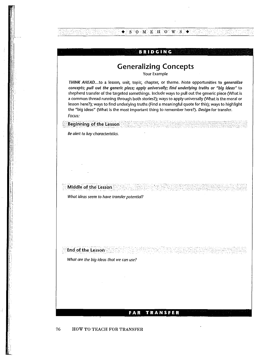$\blacklozenge$  S O M E H O W S

# **Generalizing Concepts**

Your Example

*THINK AHEAD...*to a lesson, unit, topic, chapter, or theme. Note opportunities to *generalize concepts; pull out the generic piece; apply universally; find underlying truths* or *"big ideas"* to shepherd transfer of the targeted somethings. Include ways to pull out the generic piece (What is a common thread running through both stories?); ways to apply universally (What is the moral or lesson here?); ways to find underlying truths (Find a meaningful quote for this); ways to highlight the "big ideas" (What is the most important thing to remember here?). *Design* for transfer. *Focus:*

و وی در ایران میں اسپیدا اور اسپانیوں ایران<br>دونوں داخل دیکھا یا جائزا (اسپانیوں ایران

*Be alert* to *key characteristics.*

Middle of the Lesson

End of the Lesson

**Beginning of the Lesson** 

*What ideas seem* **to** *have transfer potential?*

*What are the big ideas that we con use?*

## **FAR TRANSFER**

76 HOW TO TEACH FOR TRANSFER

if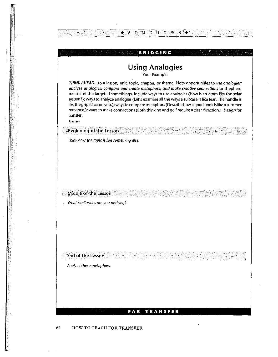$\bullet$  SOMEHOWS $\bullet$ 

# **Using Analogies**

Your Example

THINK AHEAD...to a lesson, unit, topic, chapter, or theme. Note opportunities to use analogies; analyze analogies; compare and create metaphors; and make creative connections to shepherd transfer of the targeted somethings. Include ways to use analogies (How is an atom like the solar system?); ways to analyze analogies (Let's examine all the ways a suitcase is like fear. The handle is like the grip it has on you.); waysto compare metaphors(Describe how agood book is like a summer romance.); ways to make connections (Both thinking and golf require a clear direction.). Design for **transfer.**

Focus:

**Beginning of the Lesson** 

Think how the topic is like something else.

*. What similarities are you noticing?*

Middle of the Lesson

Analyze these metaphors.

**End of the** Lesson

## **FAR TRANSFER**

82 HOW TO TEACH FOR TRANSFER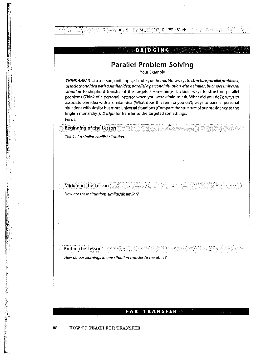$\bullet$  S O M E H O W S

# **Parallel Problem Solving**

Your Example

THINK AHEAD...to a lesson, unit, topic, chapter, or theme. Note ways to structure parallel problems; associate one Idea with a sImilaridea; parallel a personalsliuation with a similar, but more universal situation to shepherd transfer of the targeted somethings. Include: ways to structure parallel problems (Think of a personal instance when you were afraid to ask. What did you do?); ways to associate one idea with a similar idea (What does this remind you of?); ways to parallel personal situationswith similar but more universal situations (Compare the structure of our presidency to the English monarchy.). Design for transfer to the targeted somethings.

Focus:

■ 2000年10月12日 10月12日 10月12日 10月20日 10月20日 10月20日 10月20日 10月20日 10月20日 10月20日 10月20日 10月20日 10月20日 10月

**Beginning of the Lesson** 

Think of a similar conflict situation.

Middle of the Lesson How *are these situations similar/dissimilar?*

End of the Lesson

*How do our learnings in one situation transfer* **to** *the other?*

### **FAR TRANSFER**

### 88 HOW TO TEACH FOR TRANSFER